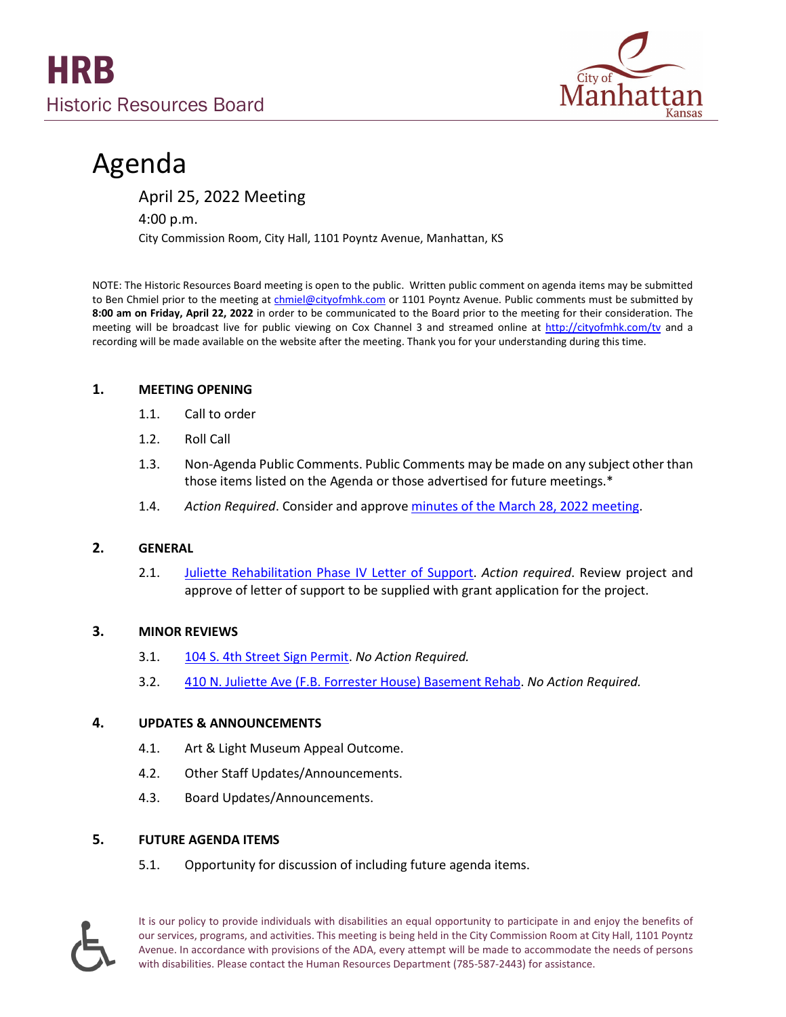

# Agenda

April 25, 2022 Meeting

4:00 p.m.

City Commission Room, City Hall, 1101 Poyntz Avenue, Manhattan, KS

NOTE: The Historic Resources Board meeting is open to the public. Written public comment on agenda items may be submitted to Ben Chmiel prior to the meeting a[t chmiel@cityofmhk.com](mailto:chmiel@cityofmhk.com) or 1101 Poyntz Avenue. Public comments must be submitted by **8:00 am on Friday, April 22, 2022** in order to be communicated to the Board prior to the meeting for their consideration. The meeting will be broadcast live for public viewing on Cox Channel 3 and streamed online at <http://cityofmhk.com/tv> and a recording will be made available on the website after the meeting. Thank you for your understanding during this time.

#### **1. MEETING OPENING**

- 1.1. Call to order
- 1.2. Roll Call
- 1.3. Non-Agenda Public Comments. Public Comments may be made on any subject other than those items listed on the Agenda or those advertised for future meetings.\*
- 1.4. *Action Required*. Consider and approve [minutes of the March 28, 2022](https://cityofmhk.com/DocumentCenter/View/64753/32822) meeting.

# **2. GENERAL**

2.1. [Juliette Rehabilitation Phase IV Letter of Support.](https://cityofmhk.com/DocumentCenter/View/64751/Juliette-Packet) *Action required*. Review project and approve of letter of support to be supplied with grant application for the project.

# **3. MINOR REVIEWS**

- 3.1. 104 S. 4th Street [Sign Permit.](https://cityofmhk.com/DocumentCenter/View/64752/Sign-Packet) *No Action Required.*
- 3.2. 410 N. Juliette Ave [\(F.B. Forrester House\) Basement Rehab.](https://cityofmhk.com/DocumentCenter/View/64754/Forrester-Packet-LQ) *No Action Required.*

# **4. UPDATES & ANNOUNCEMENTS**

- 4.1. Art & Light Museum Appeal Outcome.
- 4.2. Other Staff Updates/Announcements.
- 4.3. Board Updates/Announcements.

# **5. FUTURE AGENDA ITEMS**

5.1. Opportunity for discussion of including future agenda items.



It is our policy to provide individuals with disabilities an equal opportunity to participate in and enjoy the benefits of our services, programs, and activities. This meeting is being held in the City Commission Room at City Hall, 1101 Poyntz Avenue. In accordance with provisions of the ADA, every attempt will be made to accommodate the needs of persons with disabilities. Please contact the Human Resources Department (785-587-2443) for assistance.